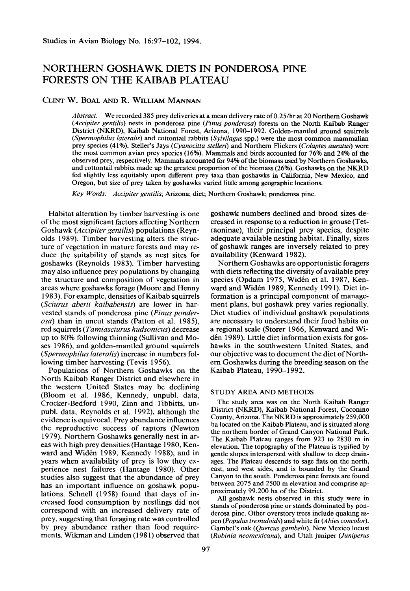# **NORTHERN GOSHAWK DIETS IN PONDEROSA PINE FORESTS ON THE KAIBAB PLATEAU**

# **CLINT W. BOAL AND R. WILLIAM MANNAN**

**Abstract. We recorded 385 prey deliveries at a mean delivery rate of0.25/hr at 20 Northern Goshawk (Accipiter gentilis) nests in ponderosa pine (Pinus ponderosa) forests on the North Kaibab Ranger District (NKRD), Kaibab National Forest, Arizona, 1990-l 992. Golden-mantled ground squirrels (Spermophilus lateralis) and cottontail rabbits (Sylvilugus spp.) were the most common mammalian prey species (41%). Steller's Jays (Cyanocitta stelleri) and Northern Flickers (Colaptes auratus) were the most common avian prey species (16%). Mammals and birds accounted for 76% and 24% of the observed prey, respectively. Mammals accounted for 94% of the biomass used by Northern Goshawks, and cottontail rabbits made up the greatest proportion of the biomass (26%). Goshawks on the NKRD fed slightly less equitably upon different prey taxa than goshawks in California, New Mexico, and Oregon, but size of prey taken by goshawks varied little among geographic locations.** 

**Key Words: Accipiter gentilis; Arizona; diet; Northern Goshawk; ponderosa pine.** 

**Habitat alteration by timber harvesting is one of the most significant factors affecting Northern Goshawk (Accipiter gentilis) populations (Reynolds 1989). Timber harvesting alters the structure of vegetation in mature forests and may reduce the suitability of stands as nest sites for goshawks (Reynolds 1983). Timber harvesting may also influence prey populations by changing the structure and composition of vegetation in areas where goshawks forage (Moore and Henny 1983). For example, densities of Kaibab squirrels (Sciurus aberti kaibabensis) are lower in harvested stands of ponderosa pine (Pinus ponderosa) than in uncut stands (Patton et al. 1985) red squirrels (Tamiasciurus hudsonicus) decrease up to 80% following thinning (Sullivan and Moses 1986) and golden-mantled ground squirrels (Spermophilus lateralis) increase in numbers following timber harvesting (Tevis 1956).** 

**Populations of Northern Goshawks on the North Kaibab Ranger District and elsewhere in the western United States may be declining (Bloom et al. 1986, Kennedy, unpubl. data, Cracker-Bedford 1990, Zinn and Tibbitts, unpubl. data, Reynolds et al. 1992) although the evidence is equivocal. Prey abundance influences the reproductive success of raptors (Newton 1979). Northern Goshawks generally nest in areas with high prey densities (Hantage 1980, Ken**ward and Widén 1989, Kennedy 1988), and in **years when availability of prey is low they experience nest failures (Hantage 1980). Other studies also suggest that the abundance of prey has an important influence on goshawk populations. Schnell (1958) found that days of increased food consumption by nestlings did not correspond with an increased delivery rate of prey, suggesting that foraging rate was controlled by prey abundance rather than food requirements. Wikman and Linden (198 1) observed that**  **goshawk numbers declined and brood sizes decreased in response to a reduction in grouse (Tetraoninae), their principal prey species, despite adequate available nesting habitat. Finally, sizes of goshawk ranges are inversely related to prey availability (Kenward 1982).** 

**Northern Goshawks are opportunistic foragers with diets reflecting the diversity of available prey species (Opdam 1975, Widen et al. 1987, Kenward and Widen 1989, Kennedy 1991). Diet information is a principal component of management plans, but goshawk prey varies regionally. Diet studies of individual goshawk populations are necessary to understand their food habits on a regional scale (Storer 1966, Kenward and Widen 1989). Little diet information exists for goshawks in the southwestern United States, and our objective was to document the diet of Northem Goshawks during the breeding season on the Kaibab Plateau, 1990-l 992.** 

#### **STUDY AREA AND METHODS**

**The study area was on the North Kaibab Ranger District (NKRD), Kaibab National Forest, Coconino County, Arizona. The NKRD is approximately 259,000 ha located on the Kaibab Plateau, and is situated along the northern border of Grand Canyon National Park. The Kaibab Plateau ranges from 923 to 2830 m in elevation. The topography of the Plateau is typified by gentle slopes interspersed with shallow to deep drainages. The Plateau descends to sage flats on the north, east, and west sides, and is bounded by the Grand Canyon to the south. Ponderosa pine forests are found between 2075 and 2500 m elevation and comprise approximately 99,200 ha of the District.** 

**All goshawk nests observed in this study were in stands of ponderosa pine or stands dominated by ponderosa pine. Other overstory trees include quaking aspen (Populus tremuloids) and white fir (Abies concolor).**  Gambel's oak (Quercus gambelii), New Mexico locust **(Robinia neomexicana), and Utah juniper (Juniperus**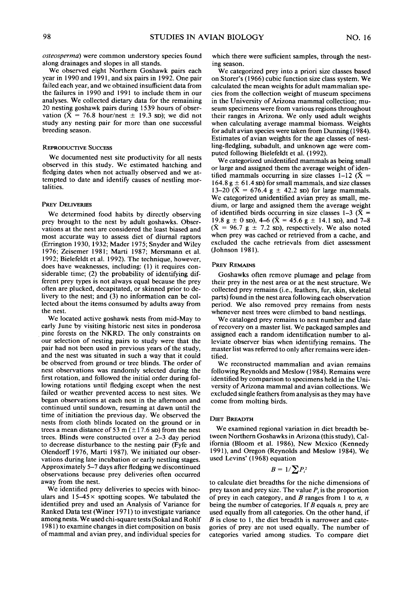**osteosperma) were common understory species found along drainages and slopes in all stands.** 

**We observed eight Northern Goshawk pairs each year in 1990 and 199 1, and six pairs in 1992. One pair failed each year, and we obtained insufficient data from the failures in 1990 and 1991 to include them in our analyses. We collected dietary data for the remaining 20 nesting goshawk pairs during 1539 hours of obser**vation  $(\bar{X} = 76.8 \text{ hour/nest } \pm 19.3 \text{ SD})$ ; we did not **study any nesting pair for more than one successful breeding season.** 

#### **REPRODUCTIVE SUCCESS**

**We documented nest site productivity for all nests observed in this study. We estimated hatching and fledging dates when not actually observed and we attempted to date and identify causes of nestling mortalities.** 

#### **PREY DELIVERIES**

**We determined food habits by directly observing prey brought to the nest by adult goshawks. Observations at the nest are considered the least biased and most accurate way to assess diet of diurnal raptors (Errington 1930,1932; Mader 1975; Snyder and Wiley**  1976; Zeisemer 1981; Marti 1987; Mersmann et al. **1992: Bielefeldt et al. 1992). The techniaue. however. does have weaknesses, including: (1) it requires con: siderable time; (2) the probability of identifying different prey types is not always equal because the prey often are plucked, decapitated, or skinned prior to delivery to the nest; and (3) no information can be collected about the items consumed by adults away from the nest.** 

**We located active goshawk nests from mid-May to early June by visiting historic nest sites in ponderosa pine forests on the NKRD. The only constraints on our selection of nesting pairs to study were that the pair had not been used in previous years of the study, and the nest was situated in such a way that it could be observed from ground or tree blinds. The order of nest observations was randomly selected during the first rotation, and followed the initial order during following rotations until fledging except when the nest failed or weather prevented access to nest sites. We began observations at each nest in the afternoon and continued until sundown, resuming at dawn until the time of initiation the previous day. We observed the nests from cloth blinds located on the ground or in**  trees a mean distance of 53 m  $(\pm 17.6 \text{ SD})$  from the nest **trees. Blinds were constructed over a 2-3 day period to decrease disturbance to the nesting pair (Fyfe and Olendorff 1976, Marti 1987). We initiated our observations during late incubation or early nestling stages. Approximately 5-7 days after fledging we discontinued observations because prey deliveries often occurred away from the nest.** 

**We identified prey deliveries to species with binoc**ulars and  $15-45 \times$  spotting scopes. We tabulated the **identified prey and used an Analysis of Variance for Ranked Data test (Winer 197 1) to investigate variance among nests. We used chi-square tests (Sokal and Rohlf 198 1) to examine changes in diet composition on basis of mammal and avian prey, and individual species for**  **which there were sufficient samples, through the nesting season.** 

**We categorized prey into a priori size classes based on Storers ' (1966) cubic function size class system. We calculated the mean weights for adult mammalian species from the collection weight of museum specimens in the University of Arizona mammal collection; museum specimens were from various regions throughout their ranges in Arizona. We only used adult weights when calculating average mammal biomass. Weights for adult avian species were taken from Dunning (1984). Estimates of avian weights for the age classes of nestling-fledgling, subadult, and unknown age were computed following Bielefeldt et al. (1992).** 

**We categorized unidentified mammals as being small or large and assigned them the average weight of iden**tified mammals occurring in size classes  $1-12$  ( $\bar{X} =$  $164.8 \text{ g} \pm 61.4 \text{ s}$  for small mammals, and size classes  $13-20 \tilde{X} = 676.4 \text{ g} \pm 42.2 \text{ SD}$  for large mammals. **We categorized unidentified avian prey as small, medium, or large and assigned them the average weight**  of identified birds occurring in size classes  $1-3$  ( $\bar{X}$  = 19.8 g  $\pm$  0 sp), 4–6 ( $\bar{X}$  = 45.6 g  $\pm$  14.1 sp), and 7–8  $(\bar{X} = 96.7 \text{ g} \pm 7.2 \text{ SD})$ , respectively. We also noted **when prey was cached or retrieved from a cache, and excluded the cache retrievals from diet assessment (Johnson 198 1).** 

## **PREY REMAINS**

**Goshawks often remove plumage and pelage from their prey in the nest area or at the nest structure. We collected prey remains (i.e., feathers, fur, skin, skeletal parts) found in the nest area following each observation period. We also removed prey remains from nests whenever nest trees were climbed to band nestlings.** 

**We cataloged prey remains to nest number and date of recovery on a master list. We packaged samples and assigned each a random identification number to alleviate observer bias when identifying remains. The master list was referred to only after remains were identified.** 

**We reconstructed mammalian and avian remains following Reynolds and Meslow (1984). Remains were identified by comparison to specimens held in the University of Arizona mammal and avian collections. We excluded single feathers from analysis as they may have come from molting birds.** 

#### **DIET BREADTH**

**We examined regional variation in diet breadth between Northern Goshawks in Arizona (this study), California (Bloom et al. 1986) New Mexico (Kennedy 199 1), and Oregon (Reynolds and Meslow 1984). We used Lcvins' ( 1968) equation** 

$$
B=1/\sum P_i^2
$$

**to calculate diet breadths for the niche dimensions of prey taxon and prey size. The value P, is the proportion of prey in each category, and B ranges from 1 to n. n being the number of categories. If B equals n, prey are used equally from all categories. On the other hand, if B is close to 1, the diet breadth is narrower and categories of prey are not used equally. The number of categories varied among studies. To compare diet**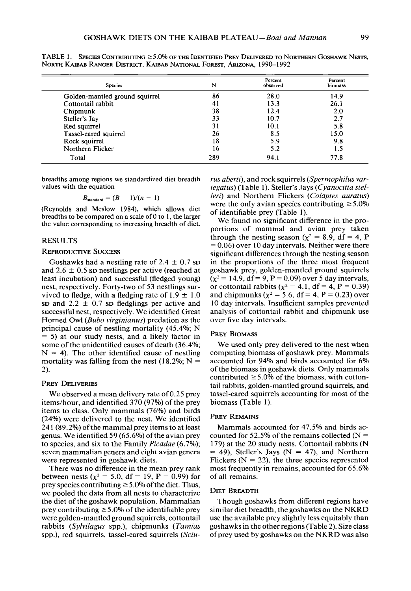| <b>Species</b>                 | N   | Percent<br>observed | Percent<br>biomass |
|--------------------------------|-----|---------------------|--------------------|
| Golden-mantled ground squirrel | 86  | 28.0                | 14.9               |
| Cottontail rabbit              | 41  | 13.3                | 26.1               |
| Chipmunk                       | 38  | 12.4                | 2.0                |
| Steller's Jay                  | 33  | 10.7                | 2.7                |
| Red squirrel                   | 31  | 10.1                | 5.8                |
| Tassel-eared squirrel          | 26  | 8.5                 | 15.0               |
| Rock squirrel                  | 18  | 5.9                 | 9.8                |
| Northern Flicker               | 16  | 5.2                 | 1.5                |
| Total                          | 289 | 94.1                | 77.8               |

**TABLE 1. SPECIES CONTRIBUTING 2 5 .O% OF THE IDENTIFIED PREY DELIVERED TO NORTHERN GOSHAWK NESTS, NORTH KAIBAB RANGER DISTRICT, KAIBAB NATIONAL FOREST, ARIZONA, 1990-1992** 

**breadths among regions we standardized diet breadth values with the equation** 

$$
B_{\text{standard}} = (B-1)/(n-1)
$$

**(Reynolds and Meslow 1984), which allows diet breadths to be compared on a scale of 0 to 1, the larger the value corresponding to increasing breadth of diet.** 

## **RESULTS**

## **REPRODUCTIVE SUCCESS**

Goshawks had a nestling rate of  $2.4 \pm 0.7$  sp and  $2.6 \pm 0.5$  sp nestlings per active (reached at **least incubation) and successful (fledged young) nest, respectively. Forty-two of 53 nestlings sur**vived to fledge, with a fledging rate of  $1.9 \pm 1.0$  $SD$  and  $2.2 \pm 0.7$  SD fledglings per active and **successful nest, respectively. We identified Great**  Horned Owl (Bubo virginianus) predation as the **principal cause of nestling mortality (45.4%; N = 5) at our study nests, and a likely factor in some of the unidentified causes of death (36.4%;**   $N = 4$ ). The other identified cause of nestling mortality was falling from the nest  $(18.2\%; N =$ **2).** 

## **PREY DELIVERIES**

**We observed a mean delivery rate of 0.25 prey items/hour, and identified 370 (97%) of the prey items to class. Only mammals (76%) and birds (24%) were delivered to the nest. We identified 24 1 (89.2%) ofthe mammal prey items to at least genus. We identified 59 (65.6%) of the avian prey**  to species, and six to the Family *Picadae* (6.7%); **seven mammalian genera and eight avian genera were represented in goshawk diets.** 

**There was no difference in the mean prey rank**  between nests ( $\chi^2 = 5.0$ , df = 19, P = 0.99) for prey species contributing  $\geq 5.0\%$  of the diet. Thus, **we pooled the data from all nests to characterize the diet of the goshawk population. Mammalian**  prey contributing  $\geq 5.0\%$  of the identifiable prey **were golden-mantled ground squirrels, cottontail**  rabbits (Sylvilagus spp.), chipmunks (Tamias **spp.), red squirrels, tassel-eared squirrels (Sciu-**

rus *aberti*), and rock squirrels (*Spermophilus var*iegatus) (Table 1). Steller's Jays (Cyanocitta stelleri) and Northern Flickers (Colaptes auratus) were the only avian species contributing  $\geq 5.0\%$ **of identifiable prey (Table 1).** 

**We found no significant difference in the proportions of mammal and avian prey taken**  through the nesting season ( $\chi^2$  = 8.9, df = 4, P **= 0.06) over 10 day intervals. Neither were there significant differences through the nesting season in the proportions of the three most frequent goshawk prey, golden-mantled ground squirrels**   $(x^2 = 14.9, df = 9, P = 0.09)$  over 5 day intervals, or cottontail rabbits ( $\chi^2 = 4.1$ , df = 4, P = 0.39) and chipmunks ( $\chi^2$  = 5.6, df = 4, P = 0.23) over **10 day intervals. Insufficient samples prevented analysis of cottontail rabbit and chipmunk use over five day intervals.** 

#### **PREY BIOMASS**

**We used only prey delivered to the nest when computing biomass of goshawk prey. Mammals accounted for 94% and birds accounted for 6% of the biomass in goshawk diets. Only mammals**  contributed  $\geq 5.0\%$  of the biomass, with cotton**tail rabbits, golden-mantled ground squirrels, and tassel-eared squirrels accounting for most of the biomass (Table 1).** 

# **PREY REMAINS**

**Mammals accounted for 47.5% and birds accounted for 52.5% of the remains collected (N = 179) at the 20 study nests. Cottontail rabbits (N**   $=$  49), Steller's Jays (N  $=$  47), and Northern Flickers  $(N = 22)$ , the three species represented **most frequently in remains, accounted for 65.6% of all remains.** 

## **DIET BREADTH**

**Though goshawks from different regions have similar diet breadth, the goshawks on the NKRD use the available prey slightly less equitably than goshawks in the other regions (Table 2). Size class of prey used by goshawks on the NKRD was also**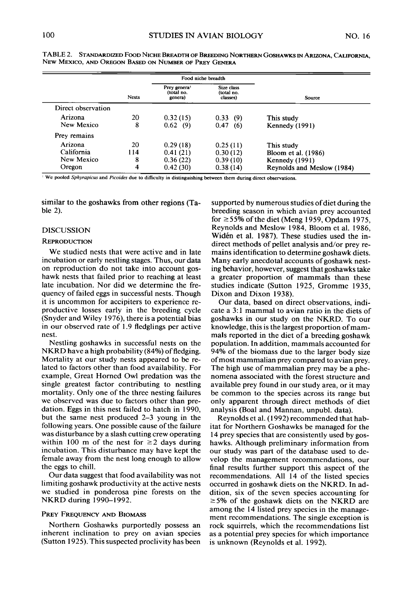|                    |              | Food niche breadth                                |                                      |                            |
|--------------------|--------------|---------------------------------------------------|--------------------------------------|----------------------------|
|                    | <b>Nests</b> | Prey genera <sup>1</sup><br>(total no.<br>genera) | Size class<br>(total no.<br>classes) | Source                     |
| Direct observation |              |                                                   |                                      |                            |
| Arizona            | 20           | 0.32(15)                                          | 0.33(9)                              | This study                 |
| New Mexico         | 8            | 0.62(9)                                           | 0.47<br>(6)                          | Kennedy (1991)             |
| Prey remains       |              |                                                   |                                      |                            |
| Arizona            | 20           | 0.29(18)                                          | 0.25(11)                             | This study                 |
| California         | 114          | 0.41(21)                                          | 0.30(12)                             | Bloom et al. (1986)        |
| New Mexico         | 8            | 0.36(22)                                          | 0.39(10)                             | Kennedy (1991)             |
| Oregon             | 4            | 0.42(30)                                          | 0.38(14)                             | Reynolds and Meslow (1984) |

**TABLE 2. STANDARDIZED FOOD NICHE BREADTH OF BREEDING NORTHERN GOSHAWKS IN ARIZONA, CALIFORNIA, NEW MEXICO, AND OREGON BASED ON NUMBER OF PREY GENERA** 

**We pooled Sphyrapicus and Picoides due to difficulty in distinguishing between them during direct observations.** 

**similar to the goshawks from other regions (Table 2).** 

## **DISCUSSION**

#### **REPRODUCTION**

**We studied nests that were active and in late incubation or early nestling stages. Thus, our data on reproduction do not take into account goshawk nests that failed prior to reaching at least late incubation. Nor did we determine the frequency of failed eggs in successful nests. Though it is uncommon for accipiters to experience reproductive losses early in the breeding cycle (Snyder and Wiley 1976) there is a potential bias in our observed rate of 1.9 fledglings per active nest.** 

**Nestling goshawks in successful nests on the NKRD have a high probability (84%) of fledging. Mortality at our study nests appeared to be related to factors other than food availability. For example, Great Horned Owl predation was the single greatest factor contributing to nestling mortality. Only one of the three nesting failures we observed was due to factors other than predation. Eggs in this nest failed to hatch in 1990, but the same nest produced 2-3 young in the following years. One possible cause of the failure was disturbance by a slash cutting crew operating**  within 100 m of the nest for  $\geq$  2 days during **incubation. This disturbance may have kept the female away from the nest long enough to allow the eggs to chill.** 

**Our data suggest that food availability was not limiting goshawk productivity at the active nests we studied in ponderosa pine forests on the NKRD during 1990-l 992.** 

## **PREY FREQUENCY AND BIOMASS**

**Northern Goshawks purportedly possess an inherent inclination to prey on avian species (Sutton 1925). This suspected proclivity has been**  **supported by numerous studies of diet during the breeding season in which avian prey accounted for 255% ofthe diet (Meng 1959, Opdam 1975, Reynolds and Meslow 1984, Bloom et al. 1986, Widen et al. 1987). These studies used the indirect methods of pellet analysis and/or prey remains identification to determine goshawk diets. Many early anecdotal accounts of goshawk nesting behavior, however, suggest that goshawks take a greater proportion of mammals than these studies indicate (Sutton 1925, Gromme 1935, Dixon and Dixon 1938).** 

**Our data, based on direct observations, indicate a 3: 1 mammal to avian ratio in the diets of goshawks in our study on the NKRD. To our knowledge, this is the largest proportion of mammals reported in the diet of a breeding goshawk population. In addition, mammals accounted for 94% of the biomass due to the larger body size of most mammalian prey compared to avian prey. The high use of mammalian prey may be a phenomena associated with the forest structure and available prey found in our study area, or it may be common to the species across its range but only apparent through direct methods of diet analysis (Boa1 and Mannan, unpubl. data).** 

**Reynolds et al. (1992) recommended that habitat for Northern Goshawks be managed for the 14 prey species that are consistently used by goshawks. Although preliminary information from our study was part of the database used to develop the management recommendations, our final results further support this aspect of the recommendations. All 14 of the listed species occurred in goshawk diets on the NKRD. In addition, six of the seven species accounting for 25% of the goshawk diets on the NKRD are among the 14 listed prey species in the management recommendations. The single exception is rock squirrels, which the recommendations list as a potential prey species for which importance is unknown (Reynolds et al. 1992).**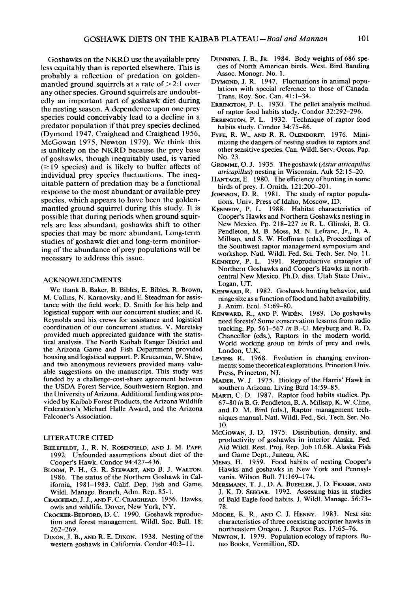**Goshawks on the NKRD use the available prey less equitably than is reported elsewhere. This is probably a reflection of predation on goldenmantled ground squirrels at a rate of > 2: 1 over any other species. Ground squirrels are undoubtedly an important part of goshawk diet during the nesting season. A dependence upon one prey species could conceivably lead to a decline in a predator population if that prey species declined (Dymond 1947, Craighead and Craighead 1956, McGowan 1975, Newton 1979). We think this is unlikely on the NKRD because the prey base of goshawks, though inequitably used, is varied**   $(\geq 19$  species) and is likely to buffer affects of **individual prey species fluctuations. The inequitable pattern of predation may be a functional response to the most abundant or available prey species, which appears to have been the goldenmantled ground squirrel during this study. It is possible that during periods when ground squirrels are less abundant, goshawks shift to other species that may be more abundant. Long-term studies of goshawk diet and long-term monitoring of the abundance of prey populations will be necessary to address this issue.** 

#### **ACKNOWLEDGMENTS**

**We thank B. Baker, B. Bibles, E. Bibles, R. Brown, M. Collins, N. Kamovsky, and E. Steadman for assistance with the field work; D. Smith for his help and logistical support with our concurrent studies; and R. Reynolds and his crews for assistance and logistical coordination of our concurrent studies. V. Meretsky provided much appreciated guidance with the statistical analysis. The North Kaibab Ranger District and the Arizona Game and Fish Department provided housing and logistical support. P. Krausman, W. Shaw, and two anonymous reviewers provided many valuable suggestions on the manuscript. This study was funded by a challenge-cost-share agreement between the USDA Forest Service, Southwestern Region, and the University of Arizona. Additional funding was provided by Kaibab Forest Products, the Arizona Wildlife**  Federation's Michael Halle Award, and the Arizona **Falconer's Association.** 

# **LITERATURE CITED**

- **BIELEFELDT, J., R. N. ROSENFIELD, AND J. M. PAPP. 1992. Unfounded assumptions about diet of the Coopers ' Hawk. Condor 941427-436.**
- **BLOOM, P. H., G. R. STEWART, AND B. J. WALTON. 1986. The status of the Northern Goshawk in California, 1981-1983. Calif. Dep. Fish and Game, Wild]. Manage. Branch, Adm. Rep. 85 1.**
- **CRAIGHEAD, J. J., AND F. C. CRAIGHEAD. 1956. Hawks, owls and wildlife. Dover, New York, NY.**
- **CROCKER-BEDFORD, D. C. 1990. Goshawk reproduc**tion and forest management. Wildl. Soc. Bull. 18: **262-269.**
- **DIXON, J. B., AND R. E. DIXON. 1938. Nesting of the western goshawk in California. Condor 40:3-l 1.**
- **DUNNING, J. B., JR. 1984. Body weights of 686 species of North American birds. West. Bird Banding Assoc. Monogr. No. 1.**
- DYMOND, J. R. 1947. Fluctuations in animal popu**lations with special reference to those of Canada. Trans. Roy. Sot. Can. 41:1-34.**
- **ERRINGTON, P. L. 1930. The pellet analysis method of raptor food habits study. Condor 32~292-296.**
- **ERRINGTON, P. L. 1932. Technique of raptor food habits study. Condor 34:75-86.**
- **FYFE, R. W., AMY R. R. OLENDORFF. 1976. Minimizing the dangers of nesting studies to raptors and other sensitive species. Can. Wildl. Serv. Occas. Pap. No. 23.**
- GROMME, O. J. 1935. The goshawk (Astur atricapillus **atricapillus) nesting in Wisconsin. Auk 52: 15-20.**
- **HANTAGE, E. 1980. The efficiency of hunting in some birds of prey. J. Omith. 121:200-201.**
- JOHNSON, D. R. 1981. The study of raptor popula**tions. Univ. Press of Idaho, Moscow, ID.**
- **KENNEDY, P. L. 1988. Habitat characteristics of**  Cooper's Hawks and Northern Goshawks nesting in **New Mexico. Pp. 218-227 in R. L. Glinski, B. G. Pendleton, M. B. Moss, M. N. Lefranc, Jr., B. A. Millsap, and S. W. Hoffman (eds.), Proceedings of the Southwest raptor management symposium and workshop. Natl. Wildl. Fed. Sci. Tech. Ser. No. 11.**
- **KENNEDY, P. L. 1991. Reproductive strategies of**  Northern Goshawks and Cooper's Hawks in north**central New Mexico. Ph.D. diss. Utah State Univ., Logan, UT.**
- KENWARD, R. 1982. Goshawk hunting behavior, and **range size as a function offood and habit availability. J. Anim. Ecol. 5 1:69-80.**
- **KENWARD, R., AND P. WIDEN. 1989. Do goshawks need forests? Some conservation lessons from radio tracking. Pp. 561-567 in B.-U. Meyburg and R. D. Chancellor (eds.), Raptors in the modem world. World working group on birds of prey and owls, London, U.K.**
- **LEVINS, R. 1968. Evolution in changing environments: some theoretical explorations. Princeton Univ. Press, Princeton, NJ.**
- **MADER, W. J. 1975. Biology of the Harris' Hawk in southern Arizona. Living Bird 14:59-85.**
- **MARTI, C. D. 1987. Raptor food habits studies. Pp. 67-80 in B. G. Pendleton, B. A. Millsap, K. W. Cline, and D. M. Bird (eds.), Raptor management techniques manual. Natl. Wildl. Fed., Sci. Tech. Ser. No. 10.**
- **MCGOWAN, J. D. 1975. Distribution, density, and productivity of goshawks in interior Alaska. Fed. Aid Wildl. Rest. Proj. Rep. Job 10.6R. Alaska Fish and Game Dept., Juneau, AK.**
- MENG, H. 1959. Food habits of nesting Cooper's **Hawks and goshawks in New York and Pennsyl**vania. Wilson Bull. 71:169-174.
- **MERSMANN, T. J., D. A. BUEHLER, J. D. FRASER, AND J. K. D. SEEGAR. 1992. Assessing bias in studies of Bald Eagle food habits. J. Wildl. Manage. 56:73- 78.**
- **MOORE, K. R., AND C. J. HENNY. 1983. Nest site characteristics of three coexisting accipiter hawks in northeastern Oregon. J. Raptor Res. 17:65-76.**
- **NEWTON, I. 1979. Population ecology of raptors. Buteo Books, Vermillion, SD.**